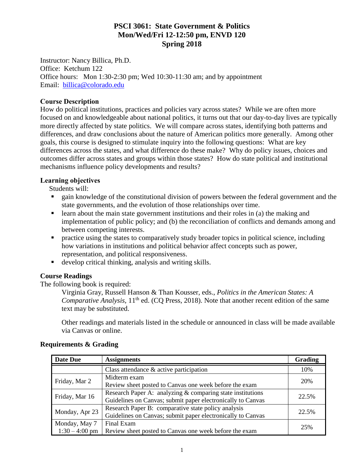# **PSCI 3061: State Government & Politics Mon/Wed/Fri 12-12:50 pm, ENVD 120 Spring 2018**

Instructor: Nancy Billica, Ph.D. Office: Ketchum 122 Office hours: Mon 1:30-2:30 pm; Wed 10:30-11:30 am; and by appointment Email: [billica@colorado.edu](mailto:billica@colorado.edu)

#### **Course Description**

How do political institutions, practices and policies vary across states? While we are often more focused on and knowledgeable about national politics, it turns out that our day-to-day lives are typically more directly affected by state politics. We will compare across states, identifying both patterns and differences, and draw conclusions about the nature of American politics more generally. Among other goals, this course is designed to stimulate inquiry into the following questions: What are key differences across the states, and what difference do these make? Why do policy issues, choices and outcomes differ across states and groups within those states? How do state political and institutional mechanisms influence policy developments and results?

#### **Learning objectives**

Students will:

- gain knowledge of the constitutional division of powers between the federal government and the state governments, and the evolution of those relationships over time.
- $\blacksquare$  learn about the main state government institutions and their roles in (a) the making and implementation of public policy; and (b) the reconciliation of conflicts and demands among and between competing interests.
- **•** practice using the states to comparatively study broader topics in political science, including how variations in institutions and political behavior affect concepts such as power, representation, and political responsiveness.
- develop critical thinking, analysis and writing skills.

## **Course Readings**

The following book is required:

Virginia Gray, Russell Hanson & Than Kousser, eds., *Politics in the American States: A Comparative Analysis,* 11<sup>th</sup> ed. (CQ Press, 2018). Note that another recent edition of the same text may be substituted.

Other readings and materials listed in the schedule or announced in class will be made available via Canvas or online.

| <b>Date Due</b>  | <b>Assignments</b>                                          | <b>Grading</b> |
|------------------|-------------------------------------------------------------|----------------|
|                  | Class attendance $\&$ active participation                  | 10%            |
| Friday, Mar 2    | Midterm exam                                                | 20%            |
|                  | Review sheet posted to Canvas one week before the exam      |                |
| Friday, Mar 16   | Research Paper A: analyzing & comparing state institutions  | 22.5%          |
|                  | Guidelines on Canvas; submit paper electronically to Canvas |                |
| Monday, Apr 23   | Research Paper B: comparative state policy analysis         | 22.5%          |
|                  | Guidelines on Canvas; submit paper electronically to Canvas |                |
| Monday, May 7    | Final Exam                                                  | 25%            |
| $1:30 - 4:00$ pm | Review sheet posted to Canvas one week before the exam      |                |

## **Requirements & Grading**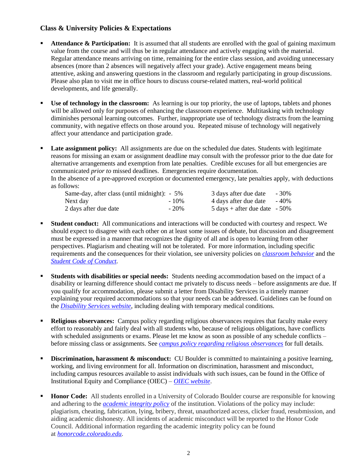## **Class & University Policies & Expectations**

- **Attendance & Participation:** It is assumed that all students are enrolled with the goal of gaining maximum value from the course and will thus be in regular attendance and actively engaging with the material. Regular attendance means arriving on time, remaining for the entire class session, and avoiding unnecessary absences (more than 2 absences will negatively affect your grade). Active engagement means being attentive, asking and answering questions in the classroom and regularly participating in group discussions. Please also plan to visit me in office hours to discuss course-related matters, real-world political developments, and life generally.
- **Use of technology in the classroom:** As learning is our top priority, the use of laptops, tablets and phones will be allowed only for purposes of enhancing the classroom experience. Multitasking with technology diminishes personal learning outcomes. Further, inappropriate use of technology distracts from the learning community, with negative effects on those around you. Repeated misuse of technology will negatively affect your attendance and participation grade.
- **Late assignment policy:** All assignments are due on the scheduled due dates. Students with legitimate reasons for missing an exam or assignment deadline may consult with the professor prior to the due date for alternative arrangements and exemption from late penalties. Credible excuses for all but emergencies are communicated *prior to* missed deadlines. Emergencies require documentation.

In the absence of a pre-approved exception or documented emergency, late penalties apply, with deductions as follows:

| Same-day, after class (until midnight): $-5\%$ |         | 3 days after due date                           | - 30% |
|------------------------------------------------|---------|-------------------------------------------------|-------|
| Next day                                       | $-10\%$ | 4 days after due date                           | - 40% |
| 2 days after due date                          | $-20%$  | $5 \text{ days} + \text{after due date} - 50\%$ |       |

- **Student conduct:** All communications and interactions will be conducted with courtesy and respect. We should expect to disagree with each other on at least some issues of debate, but discussion and disagreement must be expressed in a manner that recognizes the dignity of all and is open to learning from other perspectives. Plagiarism and cheating will not be tolerated. For more information, including specific requirements and the consequences for their violation, see university policies on *[classroom behavior](http://www.colorado.edu/policies/student-classroom-and-course-related-behavior)* and the *[Student Code of Conduct.](https://www.colorado.edu/osccr/sites/default/files/attached-files/2017-2018_student_code_of_conduct_0.pdf)*
- **Students with disabilities or special needs:** Students needing accommodation based on the impact of a disability or learning difference should contact me privately to discuss needs – before assignments are due. If you qualify for accommodation, please submit a letter from Disability Services in a timely manner explaining your required accommodations so that your needs can be addressed. Guidelines can be found on the *[Disability Services website](http://www.colorado.edu/disabilityservices/)*, including dealing with temporary medical conditions.
- **Religious observances:** Campus policy regarding religious observances requires that faculty make every effort to reasonably and fairly deal with all students who, because of religious obligations, have conflicts with scheduled assignments or exams. Please let me know as soon as possible of any schedule conflicts – before missing class or assignments. See *[campus policy regarding religious observances](http://www.colorado.edu/policies/observance-religious-holidays-and-absences-classes-andor-exams)* for full details.
- **Discrimination, harassment & misconduct:** CU Boulder is committed to maintaining a positive learning, working, and living environment for all. Information on discrimination, harassment and misconduct, including campus resources available to assist individuals with such issues, can be found in the Office of Institutional Equity and Compliance (OIEC) – *[OIEC website](http://click.communications.cu.edu/?qs=39c6bbe8c82a1d732054f117957d802dbfa206c70b1c5b513de173845a0d232cb5cf342b4ed5b660)*.
- **Honor Code:** All students enrolled in a University of Colorado Boulder course are responsible for knowing and adhering to the *[academic integrity policy](http://click.communications.cu.edu/?qs=39c6bbe8c82a1d73693839a46cfb5f41742794e4c28c3b7dd19eb84551b996198a4e1f0aff52671f)* of the institution. Violations of the policy may include: plagiarism, cheating, fabrication, lying, bribery, threat, unauthorized access, clicker fraud, resubmission, and aiding academic dishonesty. All incidents of academic misconduct will be reported to the Honor Code Council. Additional information regarding the academic integrity policy can be found at *[honorcode.colorado.edu](http://click.communications.cu.edu/?qs=39c6bbe8c82a1d734c73bf7d0e93d76ec728149ce2b1716d92fb8ad4a84306dc5bbde4e942ff9527)*.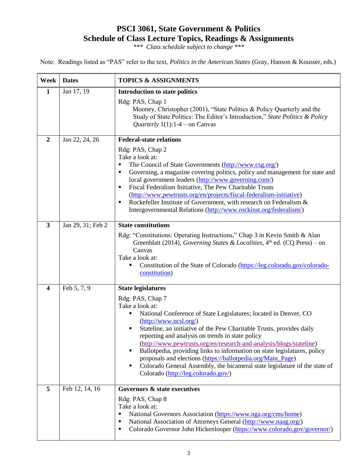# **PSCI 3061, State Government & Politics Schedule of Class Lecture Topics, Readings & Assignments**

*\*\*\* Class schedule subject to change \*\*\**

Note: Readings listed as "PAS" refer to the text, *Politics in the American States* (Gray, Hanson & Kousser, eds.)

| Week                    | <b>Dates</b>      | <b>TOPICS &amp; ASSIGNMENTS</b>                                                                                                                                                                                                                                                                                                                                                                                                                                                                                                                                                                             |
|-------------------------|-------------------|-------------------------------------------------------------------------------------------------------------------------------------------------------------------------------------------------------------------------------------------------------------------------------------------------------------------------------------------------------------------------------------------------------------------------------------------------------------------------------------------------------------------------------------------------------------------------------------------------------------|
| 1                       | Jan 17, 19        | <b>Introduction to state politics</b><br>Rdg: PAS, Chap 1<br>Mooney, Christopher (2001), "State Politics & Policy Quarterly and the<br>Study of State Politics: The Editor's Introduction," State Politics & Policy<br><i>Quarterly</i> 1(1):1-4 – on Canvas                                                                                                                                                                                                                                                                                                                                                |
| $\overline{2}$          | Jan 22, 24, 26    | <b>Federal-state relations</b>                                                                                                                                                                                                                                                                                                                                                                                                                                                                                                                                                                              |
|                         |                   | Rdg: PAS, Chap 2<br>Take a look at:<br>The Council of State Governments (http://www.csg.org/)<br>٠<br>Governing, a magazine covering politics, policy and management for state and<br>٠<br>local government leaders (http://www.governing.com/)<br>Fiscal Federalism Initiative, The Pew Charitable Trusts<br>٠<br>(http://www.pewtrusts.org/en/projects/fiscal-federalism-initiative)<br>Rockefeller Institute of Government, with research on Federalism &<br>٠<br>Intergovernmental Relations (http://www.rockinst.org/federalism/)                                                                      |
| $\overline{\mathbf{3}}$ | Jan 29, 31; Feb 2 | <b>State constitutions</b>                                                                                                                                                                                                                                                                                                                                                                                                                                                                                                                                                                                  |
|                         |                   | Rdg: "Constitutions: Operating Instructions," Chap 3 in Kevin Smith & Alan<br>Greenblatt (2014), Governing States & Localities, $4th$ ed. (CQ Press) – on<br>Canvas<br>Take a look at:<br>Constitution of the State of Colorado (https://leg.colorado.gov/colorado-<br>constitution)                                                                                                                                                                                                                                                                                                                        |
| $\overline{\mathbf{4}}$ | Feb 5, 7, 9       | <b>State legislatures</b>                                                                                                                                                                                                                                                                                                                                                                                                                                                                                                                                                                                   |
|                         |                   | Rdg: PAS, Chap 7<br>Take a look at:<br>National Conference of State Legislatures; located in Denver, CO<br>٠<br>(http://www.ncsl.org/)<br>Stateline, an initiative of the Pew Charitable Trusts, provides daily<br>reporting and analysis on trends in state policy<br>(http://www.pewtrusts.org/en/research-and-analysis/blogs/stateline)<br>Ballotpedia, providing links to information on state legislatures, policy<br>proposals and elections (https://ballotpedia.org/Main_Page)<br>Colorado General Assembly, the bicameral state legislature of the state of<br>Colorado (http://leg.colorado.gov/) |
| 5                       | Feb 12, 14, 16    | Governors & state executives                                                                                                                                                                                                                                                                                                                                                                                                                                                                                                                                                                                |
|                         |                   | Rdg: PAS, Chap 8<br>Take a look at:<br>National Governors Association (https://www.nga.org/cms/home)<br>٠<br>National Association of Attorneys General (http://www.naag.org/)<br>٠<br>Colorado Governor John Hickenlooper (https://www.colorado.gov/governor/)<br>٠                                                                                                                                                                                                                                                                                                                                         |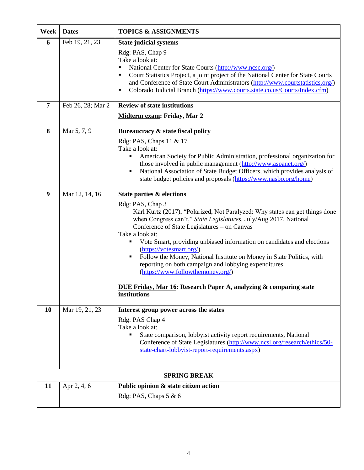| Week | <b>Dates</b>        | <b>TOPICS &amp; ASSIGNMENTS</b>                                                                                                                                                                                                                                                                                                                                                                                                                                                                                                                                                                                                                  |  |
|------|---------------------|--------------------------------------------------------------------------------------------------------------------------------------------------------------------------------------------------------------------------------------------------------------------------------------------------------------------------------------------------------------------------------------------------------------------------------------------------------------------------------------------------------------------------------------------------------------------------------------------------------------------------------------------------|--|
| 6    | Feb 19, 21, 23      | <b>State judicial systems</b><br>Rdg: PAS, Chap 9<br>Take a look at:<br>National Center for State Courts (http://www.ncsc.org/)<br>$\blacksquare$<br>Court Statistics Project, a joint project of the National Center for State Courts<br>٠<br>and Conference of State Court Administrators (http://www.courtstatistics.org/)<br>Colorado Judicial Branch (https://www.courts.state.co.us/Courts/Index.cfm)<br>п                                                                                                                                                                                                                                 |  |
| 7    | Feb 26, 28; Mar 2   | <b>Review of state institutions</b><br>Midterm exam: Friday, Mar 2                                                                                                                                                                                                                                                                                                                                                                                                                                                                                                                                                                               |  |
| 8    | Mar 5, 7, 9         | Bureaucracy & state fiscal policy<br>Rdg: PAS, Chaps 11 & 17<br>Take a look at:<br>American Society for Public Administration, professional organization for<br>٠<br>those involved in public management (http://www.aspanet.org/)<br>National Association of State Budget Officers, which provides analysis of<br>٠<br>state budget policies and proposals (https://www.nasbo.org/home)                                                                                                                                                                                                                                                         |  |
| 9    | Mar 12, 14, 16      | State parties & elections<br>Rdg: PAS, Chap 3<br>Karl Kurtz (2017), "Polarized, Not Paralyzed: Why states can get things done<br>when Congress can't," State Legislatures, July/Aug 2017, National<br>Conference of State Legislatures - on Canvas<br>Take a look at:<br>Vote Smart, providing unbiased information on candidates and elections<br>٠<br>(https://votesmart.org/)<br>Follow the Money, National Institute on Money in State Politics, with<br>٠<br>reporting on both campaign and lobbying expenditures<br>(https://www.followthemoney.org/)<br>DUE Friday, Mar 16: Research Paper A, analyzing & comparing state<br>institutions |  |
| 10   | Mar 19, 21, 23      | Interest group power across the states<br>Rdg: PAS Chap 4<br>Take a look at:<br>State comparison, lobbyist activity report requirements, National<br>п<br>Conference of State Legislatures (http://www.ncsl.org/research/ethics/50-<br>state-chart-lobbyist-report-requirements.aspx)                                                                                                                                                                                                                                                                                                                                                            |  |
|      | <b>SPRING BREAK</b> |                                                                                                                                                                                                                                                                                                                                                                                                                                                                                                                                                                                                                                                  |  |
| 11   | Apr 2, 4, 6         | Public opinion & state citizen action<br>Rdg: PAS, Chaps 5 & 6                                                                                                                                                                                                                                                                                                                                                                                                                                                                                                                                                                                   |  |